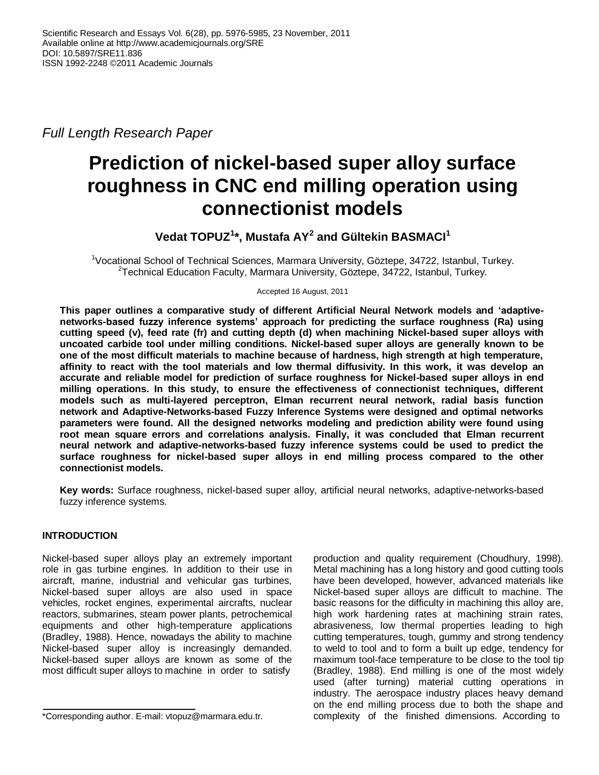*Full Length Research Paper*

# **Prediction of nickel-based super alloy surface roughness in CNC end milling operation using connectionist models**

# **Vedat TOPUZ<sup>1</sup> \*, Mustafa AY<sup>2</sup> and Gültekin BASMACI<sup>1</sup>**

<sup>1</sup>Vocational School of Technical Sciences, Marmara University, Göztepe, 34722, Istanbul, Turkey. <sup>2</sup>Technical Education Faculty, Marmara University, Göztepe, 34722, Istanbul, Turkey.

Accepted 16 August, 2011

**This paper outlines a comparative study of different Artificial Neural Network models and 'adaptivenetworks-based fuzzy inference systems' approach for predicting the surface roughness (Ra) using cutting speed (v), feed rate (fr) and cutting depth (d) when machining Nickel-based super alloys with uncoated carbide tool under milling conditions. Nickel-based super alloys are generally known to be one of the most difficult materials to machine because of hardness, high strength at high temperature, affinity to react with the tool materials and low thermal diffusivity. In this work, it was develop an accurate and reliable model for prediction of surface roughness for Nickel-based super alloys in end milling operations. In this study, to ensure the effectiveness of connectionist techniques, different models such as multi-layered perceptron, Elman recurrent neural network, radial basis function network and Adaptive-Networks-based Fuzzy Inference Systems were designed and optimal networks parameters were found. All the designed networks modeling and prediction ability were found using root mean square errors and correlations analysis. Finally, it was concluded that Elman recurrent neural network and adaptive-networks-based fuzzy inference systems could be used to predict the surface roughness for nickel-based super alloys in end milling process compared to the other connectionist models.**

**Key words:** Surface roughness, nickel-based super alloy, artificial neural networks, adaptive-networks-based fuzzy inference systems.

# **INTRODUCTION**

Nickel-based super alloys play an extremely important role in gas turbine engines. In addition to their use in aircraft, marine, industrial and vehicular gas turbines, Nickel-based super alloys are also used in space vehicles, rocket engines, experimental aircrafts, nuclear reactors, submarines, steam power plants, petrochemical equipments and other high-temperature applications (Bradley, 1988). Hence, nowadays the ability to machine Nickel-based super alloy is increasingly demanded. Nickel-based super alloys are known as some of the most difficult super alloys to machine in order to satisfy

production and quality requirement (Choudhury, 1998). Metal machining has a long history and good cutting tools have been developed, however, advanced materials like Nickel-based super alloys are difficult to machine. The basic reasons for the difficulty in machining this alloy are, high work hardening rates at machining strain rates, abrasiveness, low thermal properties leading to high cutting temperatures, tough, gummy and strong tendency to weld to tool and to form a built up edge, tendency for maximum tool-face temperature to be close to the tool tip (Bradley, 1988). End milling is one of the most widely used (after turning) material cutting operations in industry. The aerospace industry places heavy demand on the end milling process due to both the shape and complexity of the finished dimensions. According to

<sup>\*</sup>Corresponding author. E-mail: vtopuz@marmara.edu.tr.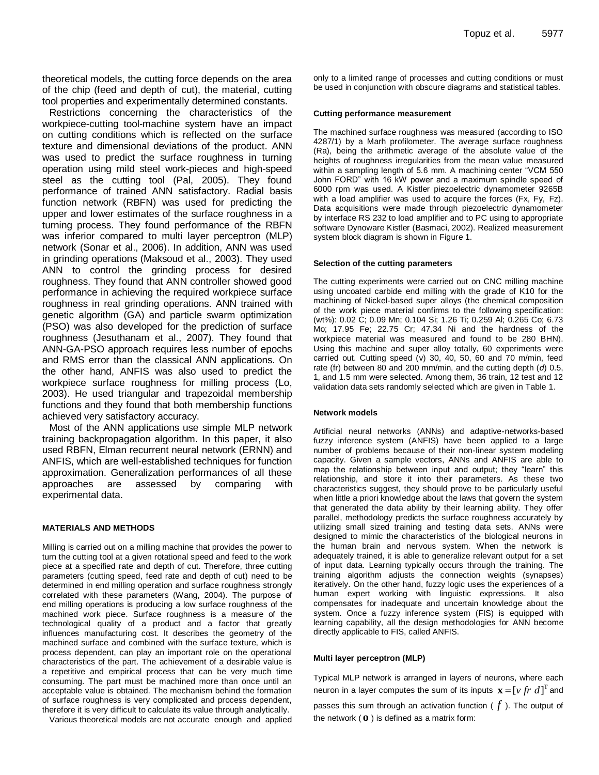theoretical models, the cutting force depends on the area of the chip (feed and depth of cut), the material, cutting tool properties and experimentally determined constants.

Restrictions concerning the characteristics of the workpiece-cutting tool-machine system have an impact on cutting conditions which is reflected on the surface texture and dimensional deviations of the product. ANN was used to predict the surface roughness in turning operation using mild steel work-pieces and high-speed steel as the cutting tool (Pal, 2005). They found performance of trained ANN satisfactory. Radial basis function network (RBFN) was used for predicting the upper and lower estimates of the surface roughness in a turning process. They found performance of the RBFN was inferior compared to multi layer perceptron (MLP) network (Sonar et al., 2006). In addition, ANN was used in grinding operations (Maksoud et al., 2003). They used ANN to control the grinding process for desired roughness. They found that ANN controller showed good performance in achieving the required workpiece surface roughness in real grinding operations. ANN trained with genetic algorithm (GA) and particle swarm optimization (PSO) was also developed for the prediction of surface roughness (Jesuthanam et al., 2007). They found that ANN-GA-PSO approach requires less number of epochs and RMS error than the classical ANN applications. On the other hand, ANFIS was also used to predict the workpiece surface roughness for milling process (Lo, 2003). He used triangular and trapezoidal membership functions and they found that both membership functions achieved very satisfactory accuracy.

Most of the ANN applications use simple MLP network training backpropagation algorithm. In this paper, it also used RBFN, Elman recurrent neural network (ERNN) and ANFIS, which are well-established techniques for function approximation. Generalization performances of all these approaches are assessed by comparing with experimental data.

#### **MATERIALS AND METHODS**

Milling is carried out on a milling machine that provides the power to turn the cutting tool at a given rotational speed and feed to the work piece at a specified rate and depth of cut. Therefore, three cutting parameters (cutting speed, feed rate and depth of cut) need to be determined in end milling operation and surface roughness strongly correlated with these parameters (Wang, 2004). The purpose of end milling operations is producing a low surface roughness of the machined work piece. Surface roughness is a measure of the technological quality of a product and a factor that greatly influences manufacturing cost. It describes the geometry of the machined surface and combined with the surface texture, which is process dependent, can play an important role on the operational characteristics of the part. The achievement of a desirable value is a repetitive and empirical process that can be very much time consuming. The part must be machined more than once until an acceptable value is obtained. The mechanism behind the formation of surface roughness is very complicated and process dependent, therefore it is very difficult to calculate its value through analytically.

Various theoretical models are not accurate enough and applied

only to a limited range of processes and cutting conditions or must be used in conjunction with obscure diagrams and statistical tables.

#### **Cutting performance measurement**

The machined surface roughness was measured (according to ISO 4287/1) by a Marh profilometer. The average surface roughness (Ra), being the arithmetic average of the absolute value of the heights of roughness irregularities from the mean value measured within a sampling length of 5.6 mm. A machining center "VCM 550 John FORD" with 16 kW power and a maximum spindle speed of 6000 rpm was used. A Kistler piezoelectric dynamometer 9265B with a load amplifier was used to acquire the forces (Fx, Fy, Fz). Data acquisitions were made through piezoelectric dynamometer by interface RS 232 to load amplifier and to PC using to appropriate software Dynoware Kistler (Basmaci, 2002). Realized measurement system block diagram is shown in Figure 1.

#### **Selection of the cutting parameters**

The cutting experiments were carried out on CNC milling machine using uncoated carbide end milling with the grade of K10 for the machining of Nickel-based super alloys (the chemical composition of the work piece material confirms to the following specification: (wt%): 0.02 C; 0.09 Mn; 0.104 Si; 1.26 Ti; 0.259 Al; 0.265 Co; 6.73 Mo; 17.95 Fe; 22.75 Cr; 47.34 Ni and the hardness of the workpiece material was measured and found to be 280 BHN). Using this machine and super alloy totally, 60 experiments were carried out. Cutting speed (v) 30, 40, 50, 60 and 70 m/min, feed rate (fr) between 80 and 200 mm/min, and the cutting depth (*d*) 0.5, 1, and 1.5 mm were selected. Among them, 36 train, 12 test and 12 validation data sets randomly selected which are given in Table 1.

#### **Network models**

Artificial neural networks (ANNs) and adaptive-networks-based fuzzy inference system (ANFIS) have been applied to a large number of problems because of their non-linear system modeling capacity. Given a sample vectors, ANNs and ANFIS are able to map the relationship between input and output; they "learn" this relationship, and store it into their parameters. As these two characteristics suggest, they should prove to be particularly useful when little a priori knowledge about the laws that govern the system that generated the data ability by their learning ability. They offer parallel, methodology predicts the surface roughness accurately by utilizing small sized training and testing data sets. ANNs were designed to mimic the characteristics of the biological neurons in the human brain and nervous system. When the network is adequately trained, it is able to generalize relevant output for a set of input data. Learning typically occurs through the training. The training algorithm adjusts the connection weights (synapses) iteratively. On the other hand, fuzzy logic uses the experiences of a human expert working with linguistic expressions. It also compensates for inadequate and uncertain knowledge about the system. Once a fuzzy inference system (FIS) is equipped with learning capability, all the design methodologies for ANN become directly applicable to FIS, called ANFIS.

#### **Multi layer perceptron (MLP)**

Typical MLP network is arranged in layers of neurons, where each neuron in a layer computes the sum of its inputs  $\mathbf{x} = [v \text{ } fr \text{ } d]^\mathrm{T}$  and passes this sum through an activation function ( *f* ). The output of the network ( **o** ) is defined as a matrix form: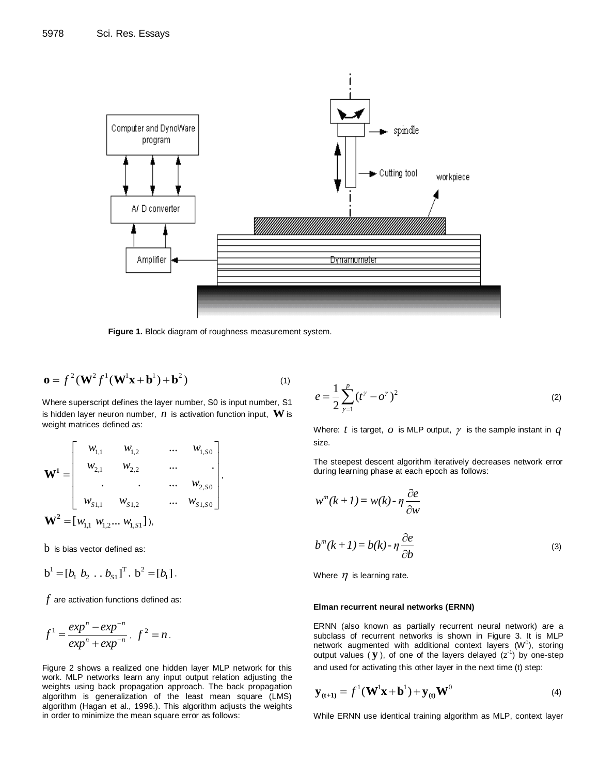

**Figure 1.** Block diagram of roughness measurement system.

,

$$
\mathbf{o} = f^2 (\mathbf{W}^2 f^1 (\mathbf{W}^1 \mathbf{x} + \mathbf{b}^1) + \mathbf{b}^2)
$$
 (1)

Where superscript defines the layer number, S0 is input number, S1 is hidden layer neuron number,  $\,n\,$  is activation function input,  $\,\mathbf{W}$  is weight matrices defined as:

$$
\mathbf{W}^{1} = \begin{bmatrix} w_{1,1} & w_{1,2} & \dots & w_{1,50} \\ w_{2,1} & w_{2,2} & \dots & \dots \\ \vdots & \vdots & \ddots & \vdots \\ w_{S1,1} & w_{S1,2} & \dots & w_{S1,50} \end{bmatrix},
$$

$$
\mathbf{W}^{2} = [w_{1,1} \ w_{1,2} \dots \ w_{1,51}],
$$

 $\mathop{b}\nolimits$  is bias vector defined as:

$$
b1 = [b1 b2 ... bS1]T, b2 = [b1],
$$

 $\hat{f}$  are activation functions defined as:

$$
f1 = \frac{expn - exp-n}{expn + exp-n}, f2 = n.
$$

Figure 2 shows a realized one hidden layer MLP network for this work. MLP networks learn any input output relation adjusting the weights using back propagation approach. The back propagation algorithm is generalization of the least mean square (LMS) algorithm (Hagan et al., 1996.). This algorithm adjusts the weights in order to minimize the mean square error as follows:

$$
e = \frac{1}{2} \sum_{\gamma=1}^{p} (t^{\gamma} - o^{\gamma})^2
$$
 (2)

Where:  $t$  is target,  $o$  is MLP output,  $\gamma$  is the sample instant in  $q$ size.

The steepest descent algorithm iteratively decreases network error during learning phase at each epoch as follows:

$$
w^{m}(k+1) = w(k) - \eta \frac{\partial e}{\partial w}
$$
  

$$
b^{m}(k+1) = b(k) - \eta \frac{\partial e}{\partial b}
$$
 (3)

Where  $\eta$  is learning rate.

#### **Elman recurrent neural networks (ERNN)**

ERNN (also known as partially recurrent neural network) are a subclass of recurrent networks is shown in Figure 3. It is MLP network augmented with additional context layers  $(W^0)$ , storing output values ( $\mathbf y$ ), of one of the layers delayed  $(z^{-1})$  by one-step and used for activating this other layer in the next time (t) step:

$$
\mathbf{y}_{(t+1)} = f^{1}(\mathbf{W}^{1}\mathbf{x} + \mathbf{b}^{1}) + \mathbf{y}_{(t)}\mathbf{W}^{0}
$$
 (4)

While ERNN use identical training algorithm as MLP, context layer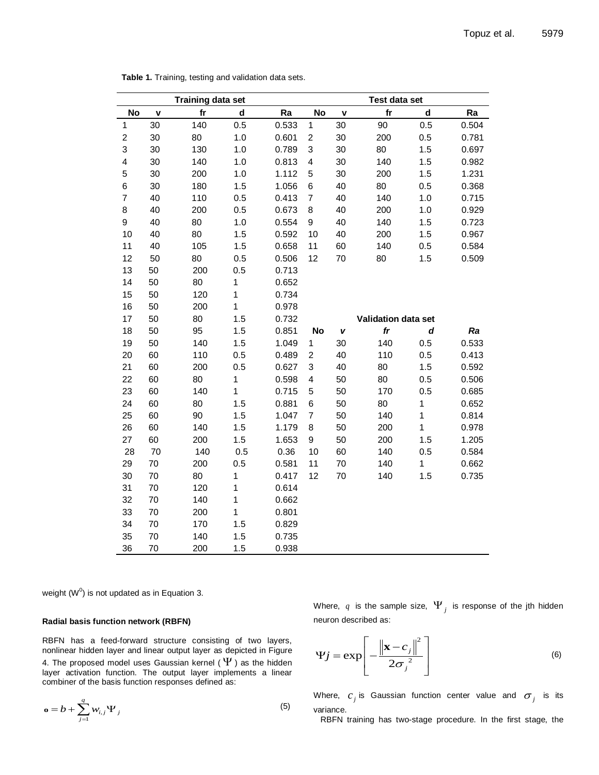| <b>Training data set</b> |    |     |              |       | Test data set             |    |                     |              |       |  |
|--------------------------|----|-----|--------------|-------|---------------------------|----|---------------------|--------------|-------|--|
| No                       | V  | fr  | $\mathbf d$  | Ra    | <b>No</b>                 | V  | f <sub>r</sub>      | $\mathbf d$  | Ra    |  |
| $\mathbf{1}$             | 30 | 140 | 0.5          | 0.533 | $\mathbf 1$               | 30 | 90                  | 0.5          | 0.504 |  |
| $\overline{\mathbf{c}}$  | 30 | 80  | 1.0          | 0.601 | $\boldsymbol{2}$          | 30 | 200                 | 0.5          | 0.781 |  |
| 3                        | 30 | 130 | 1.0          | 0.789 | $\ensuremath{\mathsf{3}}$ | 30 | 80                  | 1.5          | 0.697 |  |
| $\overline{\mathbf{4}}$  | 30 | 140 | 1.0          | 0.813 | $\overline{\mathbf{4}}$   | 30 | 140                 | 1.5          | 0.982 |  |
| 5                        | 30 | 200 | 1.0          | 1.112 | $\mathbf 5$               | 30 | 200                 | 1.5          | 1.231 |  |
| 6                        | 30 | 180 | 1.5          | 1.056 | $\,6$                     | 40 | 80                  | 0.5          | 0.368 |  |
| $\boldsymbol{7}$         | 40 | 110 | 0.5          | 0.413 | $\boldsymbol{7}$          | 40 | 140                 | 1.0          | 0.715 |  |
| 8                        | 40 | 200 | 0.5          | 0.673 | 8                         | 40 | 200                 | 1.0          | 0.929 |  |
| 9                        | 40 | 80  | 1.0          | 0.554 | 9                         | 40 | 140                 | 1.5          | 0.723 |  |
| 10                       | 40 | 80  | 1.5          | 0.592 | 10                        | 40 | 200                 | 1.5          | 0.967 |  |
| 11                       | 40 | 105 | 1.5          | 0.658 | 11                        | 60 | 140                 | 0.5          | 0.584 |  |
| 12                       | 50 | 80  | 0.5          | 0.506 | 12                        | 70 | 80                  | 1.5          | 0.509 |  |
| 13                       | 50 | 200 | 0.5          | 0.713 |                           |    |                     |              |       |  |
| 14                       | 50 | 80  | 1            | 0.652 |                           |    |                     |              |       |  |
| 15                       | 50 | 120 | $\mathbf{1}$ | 0.734 |                           |    |                     |              |       |  |
| 16                       | 50 | 200 | 1            | 0.978 |                           |    |                     |              |       |  |
| 17                       | 50 | 80  | 1.5          | 0.732 |                           |    | Validation data set |              |       |  |
| 18                       | 50 | 95  | 1.5          | 0.851 | <b>No</b>                 | V  | $f\mathbf{r}$       | d            | Ra    |  |
| 19                       | 50 | 140 | 1.5          | 1.049 | $\mathbf{1}$              | 30 | 140                 | 0.5          | 0.533 |  |
| 20                       | 60 | 110 | 0.5          | 0.489 | $\overline{\mathbf{c}}$   | 40 | 110                 | 0.5          | 0.413 |  |
| 21                       | 60 | 200 | 0.5          | 0.627 | 3                         | 40 | 80                  | 1.5          | 0.592 |  |
| 22                       | 60 | 80  | 1            | 0.598 | 4                         | 50 | 80                  | 0.5          | 0.506 |  |
| 23                       | 60 | 140 | 1            | 0.715 | 5                         | 50 | 170                 | 0.5          | 0.685 |  |
| 24                       | 60 | 80  | 1.5          | 0.881 | 6                         | 50 | 80                  | $\mathbf 1$  | 0.652 |  |
| 25                       | 60 | 90  | 1.5          | 1.047 | $\overline{7}$            | 50 | 140                 | $\mathbf{1}$ | 0.814 |  |
| 26                       | 60 | 140 | 1.5          | 1.179 | 8                         | 50 | 200                 | $\mathbf{1}$ | 0.978 |  |
| 27                       | 60 | 200 | 1.5          | 1.653 | 9                         | 50 | 200                 | 1.5          | 1.205 |  |
| 28                       | 70 | 140 | 0.5          | 0.36  | 10                        | 60 | 140                 | 0.5          | 0.584 |  |
| 29                       | 70 | 200 | 0.5          | 0.581 | 11                        | 70 | 140                 | $\mathbf{1}$ | 0.662 |  |
| 30                       | 70 | 80  | 1            | 0.417 | 12                        | 70 | 140                 | 1.5          | 0.735 |  |
| 31                       | 70 | 120 | $\mathbf{1}$ | 0.614 |                           |    |                     |              |       |  |
| 32                       | 70 | 140 | 1            | 0.662 |                           |    |                     |              |       |  |
| 33                       | 70 | 200 | 1            | 0.801 |                           |    |                     |              |       |  |
| 34                       | 70 | 170 | 1.5          | 0.829 |                           |    |                     |              |       |  |
| 35                       | 70 | 140 | 1.5          | 0.735 |                           |    |                     |              |       |  |
| 36                       | 70 | 200 | 1.5          | 0.938 |                           |    |                     |              |       |  |

**Table 1.** Training, testing and validation data sets.

weight (W $^0$ ) is not updated as in Equation 3.

#### **Radial basis function network (RBFN)**

RBFN has a feed-forward structure consisting of two layers, nonlinear hidden layer and linear output layer as depicted in Figure 4. The proposed model uses Gaussian kernel (  $\Psi$  ) as the hidden layer activation function. The output layer implements a linear combiner of the basis function responses defined as:

$$
\mathbf{o} = b + \sum_{j=1}^{q} w_{i,j} \Psi_j
$$
 (5)

Where,  $q$  is the sample size,  $\Psi_{j}^{\dagger}$  is response of the jth hidden neuron described as:

$$
\Psi j = \exp\left[-\frac{\left\|\mathbf{x} - c_j\right\|^2}{2\sigma_j^2}\right]
$$
\n(6)

Where,  $c_j$  is Gaussian function center value and  $\sigma_j$  is its variance.

RBFN training has two-stage procedure. In the first stage, the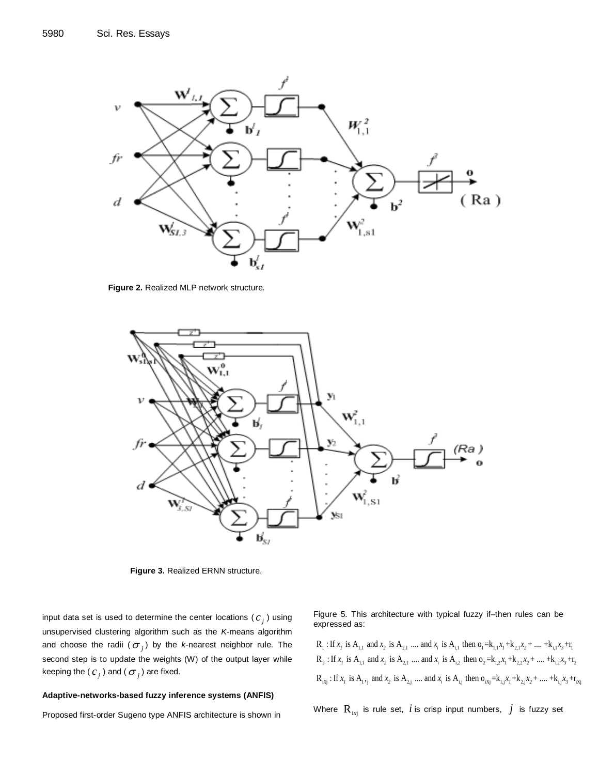

**Figure 2.** Realized MLP network structure.



**Figure 3.** Realized ERNN structure.

input data set is used to determine the center locations ( $c_j$ ) using unsupervised clustering algorithm such as the *K*-means algorithm and choose the radii ( $\sigma_{_j}$ ) by the *k*-nearest neighbor rule. The second step is to update the weights (W) of the output layer while keeping the (  $c_j^{\phantom{\dag}}$  ) and (  $\sigma_j^{\phantom{\dag}}$  ) are fixed.

#### **Adaptive-networks-based fuzzy inference systems (ANFIS)**

Proposed first-order Sugeno type ANFIS architecture is shown in

Figure 5. This architecture with typical fuzzy if–then rules can be expressed as: Figure 5. This architecture with typical fuzzy if-then rules can be expressed as:<br> $R_1:$  If  $x_i$  is  $A_{1,1}$  and  $x_2$  is  $A_{2,1}$  .... and  $x_i$  is  $A_{i,1}$  then  $o_1 = k_{1,1}x_1 + k_{2,1}x_2 + ... + k_{i,1}x_3 + r_1$ pressed as:<br> $\cdot$  If x is A and x is A and x is A then  $0 - k$  x  $\pm k$  x  $\pm$  x  $\pm k$  x  $\pm r$ R : If is A and is A .... and is A then o =k +k + .... +k +r *x x x x x x*

 $R_1$ : If  $x_1$  is  $A_{1,1}$  and  $x_2$  is  $A_{2,1}$  .... and  $x_i$  is  $A_{i,1}$  then  $o_1 = k_{1,1}x_1 + k_{2,1}x_2 + ... + k_{i,1}x_3 + r_1$ <br> $R_2$ : If  $x_1$  is  $A_{1,1}$  and  $x_2$  is  $A_{2,1}$  .... and  $x_i$  is  $A_{1,2}$  then  $o_2 = k_{1,2}x_1 + k_{$  $R_{ixj}$ : If  $x_i$  is  $A_i,$  $R_2$ : If  $x_i$  is  $A_{1,1}$  and  $x_2$  is  $A_{2,1}$  .... and  $x_i$  is  $A_{i,2}$  then  $o_2 = k_{1,2}x_1 + k_{2,2}x_2 + ... + k_{i,2}x_3 + r_2$ <br> $R_{i3j}$ : If  $x_i$  is  $A_{1,1}$  and  $x_2$  is  $A_{2,j}$  .... and  $x_i$  is  $A_{i,j}$  then  $o_{i3j} = k_{1,j}x_1 + k$ 2 1,1 2 1,1  $R_1$ : If  $x_i$  is  $A_{1,1}$  and  $x_2$  is  $A_{2,1}$  .... and  $x_i$  is  $A_{1,1}$  then  $o_1 = k_{1,1}x_1 + k_{2,1}x_2 + ... + k_{i,1}x_3 + r_1$ <br>*R*. If  $x_i$  is A ... and  $x_i$  is A ... and  $x_i$  is A ... then  $o_i = k_{i+1}x_1 + ... + k_{i+1}x_$ *x*<sub>1</sub> *x*<sub>1</sub> *x*<sub>1</sub> *x*<sub>1</sub> *x*<sub>1</sub> *x*<sub>1</sub> *x*<sub>1</sub> *x*<sub>1</sub> and *x*<sub>2</sub> is A<sub>2,1</sub> .... and *x<sub>i</sub>* is A<sub>i,2</sub> then  $o_2 = k_{1,2}x_1 + k_{2,2}x_2 + ... + k_{i,2}x_3 + r_2$ <br>*x<sub>i</sub>* if *x<sub>1</sub>* is A<sub>1,1</sub> and *x*<sub>2</sub> is A<sub>2,1</sub> .... and *x<sub>i</sub>* is A<sub>i<sub></sub></sub>  $R_1$  : If  $x_I$  is  $A_{1,1}$  a<br>  $R_2$  : If  $x_I$  is  $A_{1,1}$  a<br>  $R_{ixj}$  : If  $x_I$  is  $A_{1,1}$ **1** 2 is A<sub>1,1</sub> and  $x_2$  is A<sub>2,1</sub> .... and  $x_i$  is A<sub>1,1</sub> then  $o_1 = k_{1,1}x_1 + k_{2,1}x_2 + ... + k_{i,1}x_3 + k_{i,2}x_4 + ...$ <br> **1**  $x_i$  is A<sub>1,1</sub> and  $x_i$  is A<sub>1</sub>, and  $x_i$  is A<sub>1</sub>, then  $o_2 = k_{1,1}x_1 + k_{1,1}x_2 + ... + k_{i,1}x_i$ 

Where  $\, {\rm R}_{_{\rm inj}} \,$  is rule set,  $\,i$  is crisp input numbers,  $\,j\,$  is fuzzy set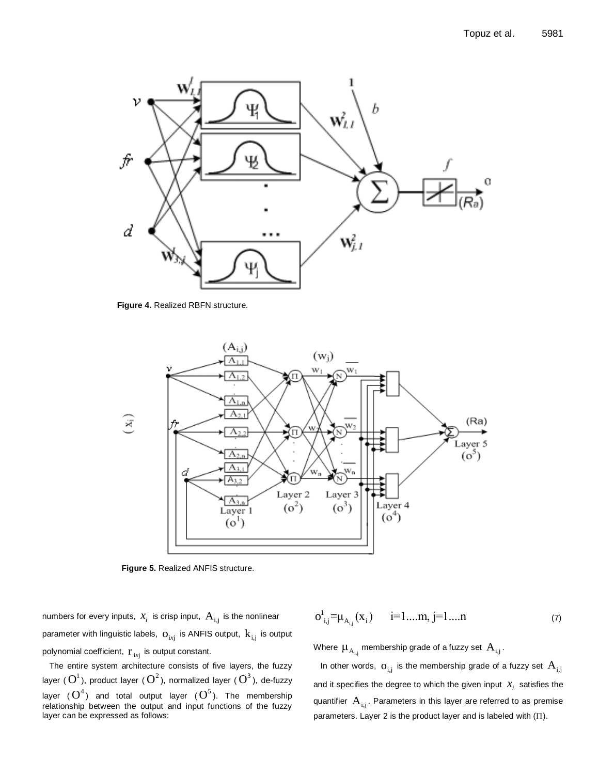

**Figure 4.** Realized RBFN structure.

![](_page_5_Figure_3.jpeg)

**Figure 5.** Realized ANFIS structure.

numbers for every inputs,  $x_i^{\phantom{\dag}}$  is crisp input,  $\,{\rm A}_{\rm i,j}^{\phantom{\dag}}$  is the nonlinear parameter with linguistic labels,  $\rm o_{\rm inj}$  is ANFIS output,  $\rm k_{\rm inj}$  is output polynomial coefficient,  $\mathbf{r}_{_{ixj}}$  is output constant.

The entire system architecture consists of five layers, the fuzzy layer (  $\boldsymbol{\mathrm{O}}^{1}$  ), product layer (  $\boldsymbol{\mathrm{O}}^{2}$  ), normalized layer (  $\boldsymbol{\mathrm{O}}^{3}$  ), de-fuzzy layer  $(\mathbf{O}^4)$  and total output layer  $(\mathbf{O}^5)$ . The membership relationship between the output and input functions of the fuzzy layer can be expressed as follows:

$$
o_{i,j}^{1} = \mu_{A_{i,j}}(x_{i}) \qquad i = 1...m, j = 1...n \qquad (7)
$$

Where  $\mu_{_{\text{A}_{\text{i,j}}}}$  membership grade of a fuzzy set  $\,\text{A}_{\text{i,j}}\hspace{-1.5pt}.$ 

In other words,  $\rm o_{i,j}$  is the membership grade of a fuzzy set  $\rm A_{i,j}$ and it specifies the degree to which the given input  $x_i$  satisfies the quantifier  $\,{\rm A}_{\rm i,j}.$  Parameters in this layer are referred to as premise parameters. Layer 2 is the product layer and is labeled with  $(\Pi)$ .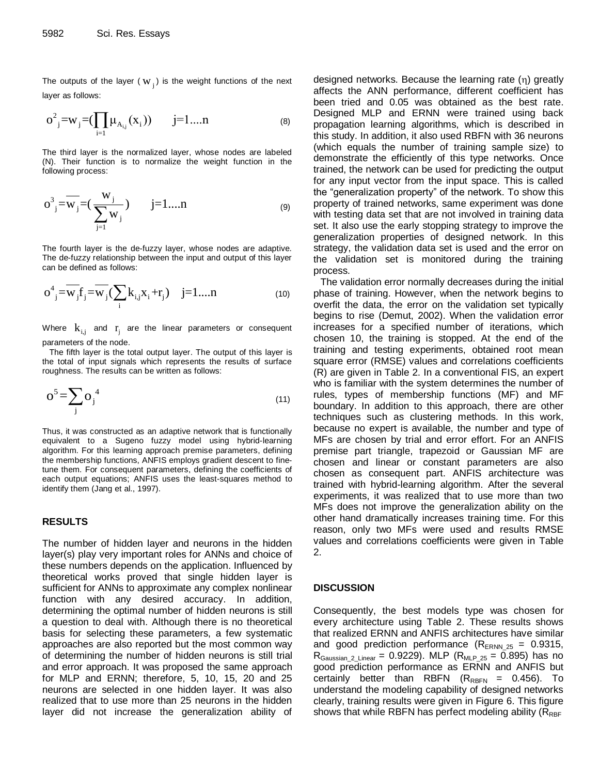The outputs of the layer ( $w_j$ ) is the weight functions of the next layer as follows:

$$
o^{2}_{j}=w_{j}=(\prod_{i=1}\mu_{A_{i,j}}(x_{i})) \qquad j=1...n \qquad \qquad (8)
$$

The third layer is the normalized layer, whose nodes are labeled (N). Their function is to normalize the weight function in the following process:

$$
o^{3}_{j} = \overline{w}_{j} = (\frac{w_{j}}{\sum_{j=1}^{j} w_{j}}) \qquad j = 1...n
$$
 (9)

The fourth layer is the de-fuzzy layer, whose nodes are adaptive. The de-fuzzy relationship between the input and output of this layer can be defined as follows:

$$
o_{j}^{4} = \overline{w}_{j} f_{j} = \overline{w}_{j} (\sum_{i} k_{i,j} x_{i} + r_{j}) \quad j = 1...n
$$
 (10)

Where  $\mathbf{k}_{i,j}$  and  $\mathbf{r}_j$  are the linear parameters or consequent parameters of the node.

The fifth layer is the total output layer. The output of this layer is the total of input signals which represents the results of surface roughness. The results can be written as follows:

$$
O5 = \sum_{j} O_j^{4}
$$
 (11)

Thus, it was constructed as an adaptive network that is functionally equivalent to a Sugeno fuzzy model using hybrid-learning algorithm. For this learning approach premise parameters, defining the membership functions, ANFIS employs gradient descent to finetune them. For consequent parameters, defining the coefficients of each output equations; ANFIS uses the least-squares method to identify them (Jang et al., 1997).

## **RESULTS**

The number of hidden layer and neurons in the hidden layer(s) play very important roles for ANNs and choice of these numbers depends on the application. Influenced by theoretical works proved that single hidden layer is sufficient for ANNs to approximate any complex nonlinear function with any desired accuracy. In addition, determining the optimal number of hidden neurons is still a question to deal with. Although there is no theoretical basis for selecting these parameters, a few systematic approaches are also reported but the most common way of determining the number of hidden neurons is still trial and error approach. It was proposed the same approach for MLP and ERNN; therefore, 5, 10, 15, 20 and 25 neurons are selected in one hidden layer. It was also realized that to use more than 25 neurons in the hidden layer did not increase the generalization ability of designed networks. Because the learning rate  $(n)$  greatly affects the ANN performance, different coefficient has been tried and 0.05 was obtained as the best rate. Designed MLP and ERNN were trained using back propagation learning algorithms, which is described in this study. In addition, it also used RBFN with 36 neurons (which equals the number of training sample size) to demonstrate the efficiently of this type networks. Once trained, the network can be used for predicting the output for any input vector from the input space. This is called the "generalization property" of the network. To show this property of trained networks, same experiment was done with testing data set that are not involved in training data set. It also use the early stopping strategy to improve the generalization properties of designed network. In this strategy, the validation data set is used and the error on the validation set is monitored during the training process.

The validation error normally decreases during the initial phase of training. However, when the network begins to overfit the data, the error on the validation set typically begins to rise (Demut, 2002). When the validation error increases for a specified number of iterations, which chosen 10, the training is stopped. At the end of the training and testing experiments, obtained root mean square error (RMSE) values and correlations coefficients (R) are given in Table 2. In a conventional FIS, an expert who is familiar with the system determines the number of rules, types of membership functions (MF) and MF boundary. In addition to this approach, there are other techniques such as clustering methods. In this work, because no expert is available, the number and type of MFs are chosen by trial and error effort. For an ANFIS premise part triangle, trapezoid or Gaussian MF are chosen and linear or constant parameters are also chosen as consequent part. ANFIS architecture was trained with hybrid-learning algorithm. After the several experiments, it was realized that to use more than two MFs does not improve the generalization ability on the other hand dramatically increases training time. For this reason, only two MFs were used and results RMSE values and correlations coefficients were given in Table 2.

#### **DISCUSSION**

Consequently, the best models type was chosen for every architecture using Table 2. These results shows that realized ERNN and ANFIS architectures have similar and good prediction performance  $(R_{\text{ERNN } 25} = 0.9315,$  $R_{Gaussian_2 \text{Linear}} = 0.9229$ . MLP  $(R_{MLP_25} = 0.895)$  has no good prediction performance as ERNN and ANFIS but certainly better than RBFN  $(R_{RBFN} = 0.456)$ . To understand the modeling capability of designed networks clearly, training results were given in Figure 6. This figure shows that while RBFN has perfect modeling ability ( $R_{RBF}$ )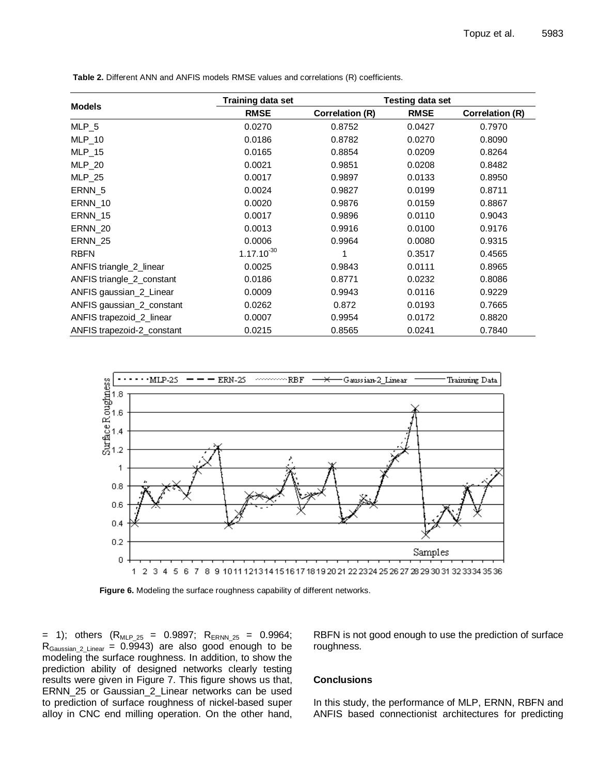|                            | <b>Training data set</b> | <b>Testing data set</b> |             |                        |  |  |
|----------------------------|--------------------------|-------------------------|-------------|------------------------|--|--|
| <b>Models</b>              | <b>RMSE</b>              | <b>Correlation (R)</b>  | <b>RMSE</b> | <b>Correlation (R)</b> |  |  |
| MLP <sub>5</sub>           | 0.0270                   | 0.8752                  | 0.0427      | 0.7970                 |  |  |
| $MLP_10$                   | 0.0186                   | 0.8782                  | 0.0270      | 0.8090                 |  |  |
| $MLP_15$                   | 0.0165                   | 0.8854                  | 0.0209      | 0.8264                 |  |  |
| <b>MLP_20</b>              | 0.0021                   | 0.9851                  | 0.0208      | 0.8482                 |  |  |
| $MLP_25$                   | 0.0017                   | 0.9897                  | 0.0133      | 0.8950                 |  |  |
| ERNN 5                     | 0.0024                   | 0.9827                  | 0.0199      | 0.8711                 |  |  |
| <b>ERNN_10</b>             | 0.0020                   | 0.9876                  | 0.0159      | 0.8867                 |  |  |
| <b>ERNN_15</b>             | 0.0017                   | 0.9896                  | 0.0110      | 0.9043                 |  |  |
| ERNN 20                    | 0.0013                   | 0.9916                  | 0.0100      | 0.9176                 |  |  |
| ERNN 25                    | 0.0006                   | 0.9964                  | 0.0080      | 0.9315                 |  |  |
| <b>RBFN</b>                | $1.17.10^{-30}$          |                         | 0.3517      | 0.4565                 |  |  |
| ANFIS triangle_2_linear    | 0.0025                   | 0.9843                  | 0.0111      | 0.8965                 |  |  |
| ANFIS triangle_2_constant  | 0.0186                   | 0.8771                  | 0.0232      | 0.8086                 |  |  |
| ANFIS gaussian_2_Linear    | 0.0009                   | 0.9943                  | 0.0116      | 0.9229                 |  |  |
| ANFIS gaussian_2_constant  | 0.0262                   | 0.872                   | 0.0193      | 0.7665                 |  |  |
| ANFIS trapezoid_2_linear   | 0.0007                   | 0.9954                  | 0.0172      | 0.8820                 |  |  |
| ANFIS trapezoid-2_constant | 0.0215                   | 0.8565                  | 0.0241      | 0.7840                 |  |  |

**Table 2.** Different ANN and ANFIS models RMSE values and correlations (R) coefficients.

![](_page_7_Figure_3.jpeg)

**Figure 6.** Modeling the surface roughness capability of different networks.

= 1); others  $(R_{MLP_25} = 0.9897; R_{ERNN_25} = 0.9964;$  $R_{\text{Gaussian 2 Linear}} = 0.9943$  are also good enough to be modeling the surface roughness. In addition, to show the prediction ability of designed networks clearly testing results were given in Figure 7. This figure shows us that, ERNN\_25 or Gaussian\_2\_Linear networks can be used to prediction of surface roughness of nickel-based super alloy in CNC end milling operation. On the other hand,

RBFN is not good enough to use the prediction of surface roughness.

## **Conclusions**

In this study, the performance of MLP, ERNN, RBFN and ANFIS based connectionist architectures for predicting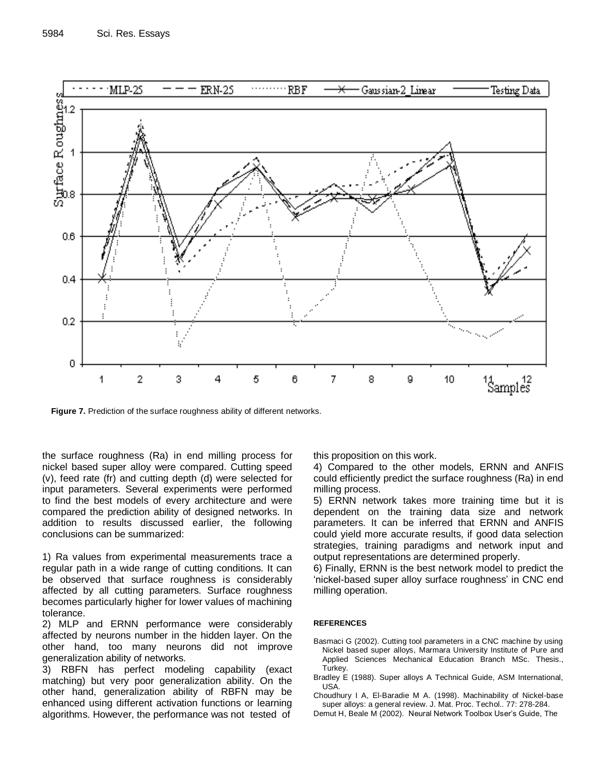![](_page_8_Figure_1.jpeg)

**Figure 7.** Prediction of the surface roughness ability of different networks.

the surface roughness (Ra) in end milling process for nickel based super alloy were compared. Cutting speed (v), feed rate (fr) and cutting depth (d) were selected for input parameters. Several experiments were performed to find the best models of every architecture and were compared the prediction ability of designed networks. In addition to results discussed earlier, the following conclusions can be summarized:

1) Ra values from experimental measurements trace a regular path in a wide range of cutting conditions. It can be observed that surface roughness is considerably affected by all cutting parameters. Surface roughness becomes particularly higher for lower values of machining tolerance.

2) MLP and ERNN performance were considerably affected by neurons number in the hidden layer. On the other hand, too many neurons did not improve generalization ability of networks.

3) RBFN has perfect modeling capability (exact matching) but very poor generalization ability. On the other hand, generalization ability of RBFN may be enhanced using different activation functions or learning algorithms. However, the performance was not tested of

this proposition on this work.

4) Compared to the other models, ERNN and ANFIS could efficiently predict the surface roughness (Ra) in end milling process.

5) ERNN network takes more training time but it is dependent on the training data size and network parameters. It can be inferred that ERNN and ANFIS could yield more accurate results, if good data selection strategies, training paradigms and network input and output representations are determined properly.

6) Finally, ERNN is the best network model to predict the 'nickel-based super alloy surface roughness' in CNC end milling operation.

### **REFERENCES**

- Basmaci G (2002). Cutting tool parameters in a CNC machine by using Nickel based super alloys, Marmara University Institute of Pure and Applied Sciences Mechanical Education Branch MSc. Thesis., Turkey.
- Bradley E (1988). Super alloys A Technical Guide, ASM International, USA.
- Choudhury I A, El-Baradie M A. (1998). Machinability of Nickel-base super alloys: a general review. J. Mat. Proc. Techol.. 77: 278-284.
- Demut H, Beale M (2002). Neural Network Toolbox User"s Guide, The